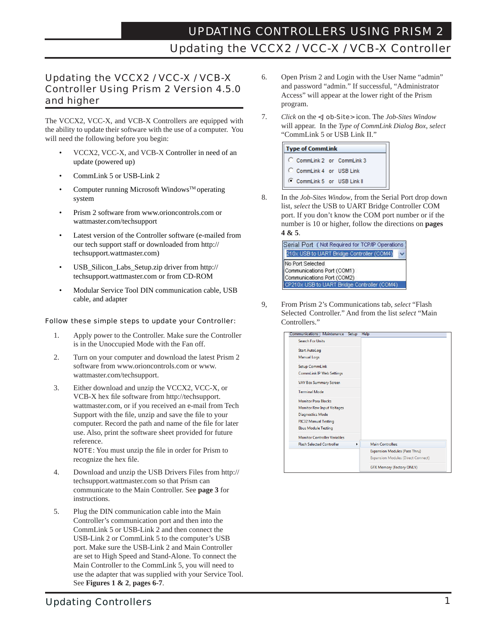# UPDATING CONTROLLERS USING PRISM 2 Updating the VCCX2 / VCC-X / VCB-X Controller

### Updating the VCCX2 / VCC-X / VCB-X Controller Using Prism 2 Version 4.5.0 and higher

The VCCX2, VCC-X, and VCB-X Controllers are equipped with the ability to update their software with the use of a computer. You will need the following before you begin:

- VCCX2, VCC-X, and VCB-X Controller in need of an update (powered up)
- CommLink 5 or USB-Link 2
- Computer running Microsoft Windows™ operating system
- Prism 2 software from www.orioncontrols.com or wattmaster.com/techsupport
- Latest version of the Controller software (e-mailed from our tech support staff or downloaded from http:// techsupport.wattmaster.com)
- USB\_Silicon\_Labs\_Setup.zip driver from http:// techsupport.wattmaster.com or from CD-ROM
- Modular Service Tool DIN communication cable, USB cable, and adapter

#### Follow these simple steps to update your Controller:

- 1. Apply power to the Controller. Make sure the Controller is in the Unoccupied Mode with the Fan off.
- 2. Turn on your computer and download the latest Prism 2 software from www.orioncontrols.com or www. wattmaster.com/techsupport.
- 3. Either download and unzip the VCCX2, VCC-X, or VCB-X hex file software from http://techsupport. wattmaster.com, or if you received an e-mail from Tech Support with the file, unzip and save the file to your computer. Record the path and name of the file for later use. Also, print the software sheet provided for future reference.

**NOTE:** You must unzip the file in order for Prism to recognize the hex file.

- 4. Download and unzip the USB Drivers Files from http:// techsupport.wattmaster.com so that Prism can communicate to the Main Controller. See **page 3** for instructions.
- 5. Plug the DIN communication cable into the Main Controller's communication port and then into the CommLink 5 or USB-Link 2 and then connect the USB-Link 2 or CommLink 5 to the computer's USB port. Make sure the USB-Link 2 and Main Controller are set to High Speed and Stand-Alone. To connect the Main Controller to the CommLink 5, you will need to use the adapter that was supplied with your Service Tool. See **Figures 1 & 2**, **pages 6-7**.
- 6. Open Prism 2 and Login with the User Name "admin" and password "admin." If successful, "Administrator Access" will appear at the lower right of the Prism program.
- 7. *Click* on the <Job-Site> icon. The *Job-Sites Window* will appear. In the *Type of CommLink Dialog Box*, *select* "CommLink 5 or USB Link II."



8. In the *Job-Sites Window*, from the Serial Port drop down list, *select* the USB to UART Bridge Controller COM port. If you don't know the COM port number or if the number is 10 or higher, follow the directions on **pages 4 & 5**.



9, From Prism 2's Communications tab, *select* "Flash Selected Controller." And from the list *select* "Main Controllers."



### Updating Controllers 1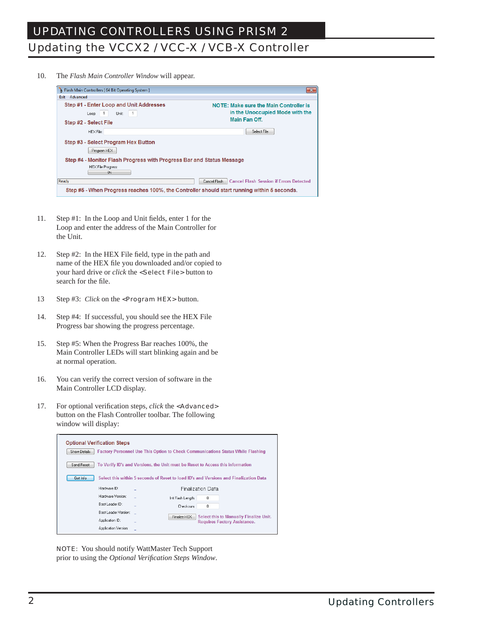10. The *Flash Main Controller Window* will appear.

| Flash Main Controllers [ 64 Bit Operating System ]                                          | $\mathbf{x}$                                                                     |
|---------------------------------------------------------------------------------------------|----------------------------------------------------------------------------------|
| Advanced<br>Exit                                                                            |                                                                                  |
| Step #1 - Enter Loop and Unit Addresses<br>$\overline{1}$<br>Unit:<br>Loop:                 | <b>NOTE: Make sure the Main Controller is</b><br>in the Unoccupied Mode with the |
| Step #2 - Select File                                                                       | Main Fan Off.                                                                    |
| HEX File:                                                                                   | Select File                                                                      |
| Step #3 - Select Program Hex Button<br>Program HEX                                          |                                                                                  |
| Step #4 - Monitor Flash Progress with Progress Bar and Status Message                       |                                                                                  |
| <b>HEX File Progress</b><br>$0\%$                                                           |                                                                                  |
| Ready                                                                                       | <b>Cancel Flash Session if Errors Detected</b><br>Cancel Flash                   |
| Step #5 - When Progress reaches 100%, the Controller should start running within 5 seconds. |                                                                                  |

- 11. Step #1: In the Loop and Unit fields, enter 1 for the Loop and enter the address of the Main Controller for the Unit.
- 12. Step #2: In the HEX File field, type in the path and name of the HEX file you downloaded and/or copied to your hard drive or *click* the **<Select File>** button to search for the file.
- 13 Step #3: *Click* on the **>Program HEX** button.
- 14. Step #4: If successful, you should see the HEX File Progress bar showing the progress percentage.
- 15. Step #5: When the Progress Bar reaches 100%, the Main Controller LEDs will start blinking again and be at normal operation.
- 16. You can verify the correct version of software in the Main Controller LCD display.
- 17. For optional verification steps, *click* the **<Advanced>**  button on the Flash Controller toolbar. The following window will display:

| <b>Optional Verification Steps</b> |                      |                                                                                |                   |                          |                                                                                        |
|------------------------------------|----------------------|--------------------------------------------------------------------------------|-------------------|--------------------------|----------------------------------------------------------------------------------------|
| Show Details                       |                      |                                                                                |                   |                          | <b>Factory Personnel Use This Option to Check Communications Status While Flashing</b> |
| Send Reset                         |                      | To Verify ID's and Versions, the Unit must be Reset to Access this information |                   |                          |                                                                                        |
| Get Info                           |                      |                                                                                |                   |                          | Select this within 5 seconds of Reset to load ID's and Versions and Finalization Data  |
|                                    | Hardware ID:         |                                                                                |                   | <b>Finalization Data</b> |                                                                                        |
|                                    | Hardware Version:    |                                                                                | Int Flash Length: | 0                        |                                                                                        |
|                                    | Boot Loader ID:      |                                                                                | Checksum:         | n                        |                                                                                        |
|                                    | Boot Loader Version: |                                                                                | Finalize HEX      |                          | Select this to Manually Finalize Unit.                                                 |
|                                    | Application ID:      |                                                                                |                   |                          | <b>Requires Factory Assistance.</b>                                                    |
|                                    | Application Version: |                                                                                |                   |                          |                                                                                        |

 NOTE: You should notify WattMaster Tech Support prior to using the *Optional Verifi cation Steps Window*.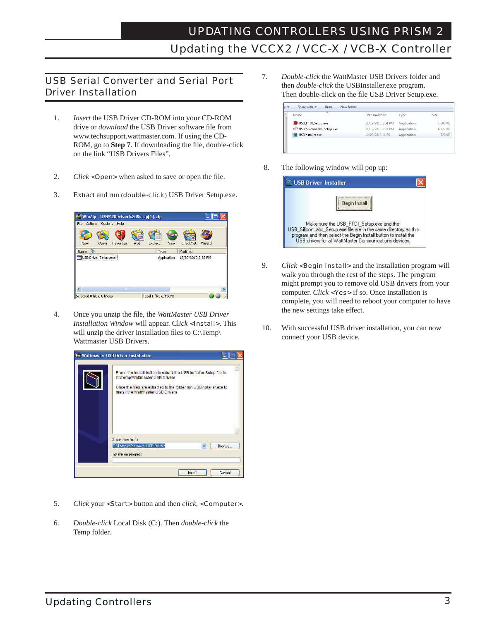#### USB Serial Converter and Serial Port Driver Installation

- 1. *Insert* the USB Driver CD-ROM into your CD-ROM drive or *download* the USB Driver software file from www.techsupport.wattmaster.com. If using the CD- ROM, go to **Step 7**. If downloading the file, double-click on the link "USB Drivers Files".
- 2. *Click* <**Open>** when asked to save or open the file.
- 3. Extract and run (double-click) USB Driver Setup.exe.



4. Once you unzip the file, the *WattMaster USB Driver Installation Window* will appear. Cl*ick* <Install>. This will unzip the driver installation files to  $C:\Temp\$ Wattmaster USB Drivers.



- 5. *Click* your <Start> button and then *click*, <Computer>.
- 6. *Double-click* Local Disk (C:). Then *double-click* the Temp folder.

7. *Double-click* the WattMaster USB Drivers folder and then *double-click* the USBInstaller.exe program. Then double-click on the file USB Driver Setup.exe.

| ×<br>Name                 | Date modified      | Type        | Size     |
|---------------------------|--------------------|-------------|----------|
| USB_FTDI_Setup.exe        | 11/19/2010 1:34 PM | Application | 1,688 KB |
| USB SiliconLabs Setup.exe | 11/19/2010 1:35 PM | Application | 6,722 KB |
| USBInstaller.exe          | 12/20/2010 11:25   | Application | 720 KB   |

8. The following window will pop up:

| <b>USB Driver Installer</b> |                                                                                                                                                                                                                                           |
|-----------------------------|-------------------------------------------------------------------------------------------------------------------------------------------------------------------------------------------------------------------------------------------|
|                             | Begin Install                                                                                                                                                                                                                             |
|                             | Make sure the USB FTDI Setup.exe and the<br>USB SiliconLabs Setuplexe file are in the same directory as this<br>program and then select the Begin Install button to install the<br>USB drivers for all WattMaster Communications devices. |

- 9. *Click* <**Begin Install>** and the installation program will walk you through the rest of the steps. The program might prompt you to remove old USB drivers from your computer. *Click* <Yes> if so. Once installation is complete, you will need to reboot your computer to have the new settings take effect.
- 10. With successful USB driver installation, you can now connect your USB device.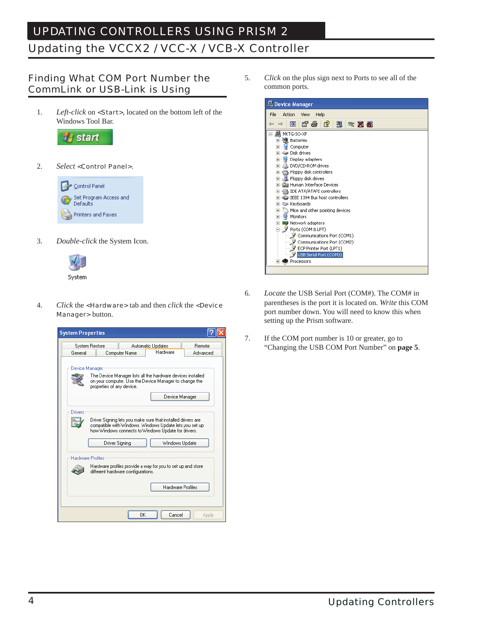### UPDATING CONTROLLERS USING PRISM 2 Updating the VCCX2 / VCC-X / VCB-X Controller

#### Finding What COM Port Number the CommLink or USB-Link is Using

1. *Left-click* on <Start>, located on the bottom left of the Windows Tool Bar.



2. *Select* <Control Panel>.



3. *Double-click* the System Icon.



4. *Click* the <Hardware> tab and then *click* the <Device Manager> button.



5. *Click* on the plus sign next to Ports to see all of the common ports.



- 6. *Locate* the USB Serial Port (COM#). The COM# in parentheses is the port it is located on. *Write* this COM port number down. You will need to know this when setting up the Prism software.
- 7. If the COM port number is 10 or greater, go to "Changing the USB COM Port Number" on **page 5**.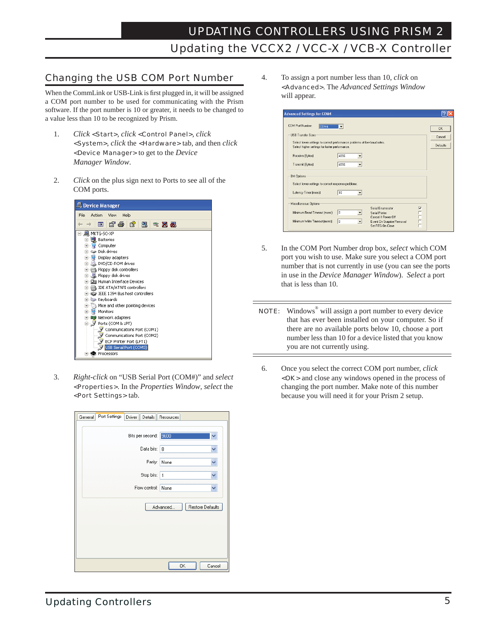#### Changing the USB COM Port Number

When the CommLink or USB-Link is first plugged in, it will be assigned a COM port number to be used for communicating with the Prism software. If the port number is 10 or greater, it needs to be changed to a value less than 10 to be recognized by Prism.

- 1. *Click* <Start>, *click* <Control Panel>, *click* <System>, *click* the <Hardware> tab, and then *click* <Device Manager> to get to the *Device Manager Window*.
- 2. *Click* on the plus sign next to Ports to see all of the COM ports.



3. *Right-click* on "USB Serial Port (COM#)" and *select* <Properties>. In the *Properties Window*, *select* the <Port Settings> tab.

| Port Settings<br>Driver<br>General | Details Resources |                  |
|------------------------------------|-------------------|------------------|
| Bits per second:                   | 9600              |                  |
| Data bits:                         | 8                 | ×                |
| Parity:                            | None              | Y                |
| Stop bits:   1                     |                   | Y                |
| Flow control:                      | None              | Ÿ                |
|                                    | Advanced          | Restore Defaults |
|                                    |                   |                  |
|                                    |                   |                  |
|                                    |                   |                  |
|                                    | OK                | Cancel           |

4. To assign a port number less than 10, *click* on <Advanced>. The *Advanced Settings Window* will appear.

| CDM Port Number<br>COM <sub>4</sub>                                                                   |                              |                   |                         | <b>OK</b>          |
|-------------------------------------------------------------------------------------------------------|------------------------------|-------------------|-------------------------|--------------------|
| <b>USB Transfer Sizes</b><br>Select lower settings to correct performance problems at low baud rates. |                              |                   |                         | Cancel<br>Defaults |
| Select higher settings for faster performance.<br>Receive (Bytes):                                    | 4096                         |                   |                         |                    |
| Transmit (Bytes):                                                                                     | 4096<br>$\blacktriangledown$ |                   |                         |                    |
| <b>BM Options:</b>                                                                                    |                              |                   |                         |                    |
| Select lower settings to correct response problems.                                                   |                              |                   |                         |                    |
|                                                                                                       | 16                           |                   |                         |                    |
| Latency Timer (msec):                                                                                 |                              |                   |                         |                    |
| Miscellaneous Options                                                                                 |                              | Serial Enumerator | $\overline{\mathbf{v}}$ |                    |

- 5. In the COM Port Number drop box, *select* which COM port you wish to use. Make sure you select a COM port number that is not currently in use (you can see the ports in use in the *Device Manager Window*). *Select* a port that is less than 10.
- **NOTE:** Windows<sup>®</sup> will assign a port number to every device that has ever been installed on your computer. So if there are no available ports below 10, choose a port number less than 10 for a device listed that you know you are not currently using.
- 6. Once you select the correct COM port number, *click*  <OK> and close any windows opened in the process of changing the port number. Make note of this number because you will need it for your Prism 2 setup.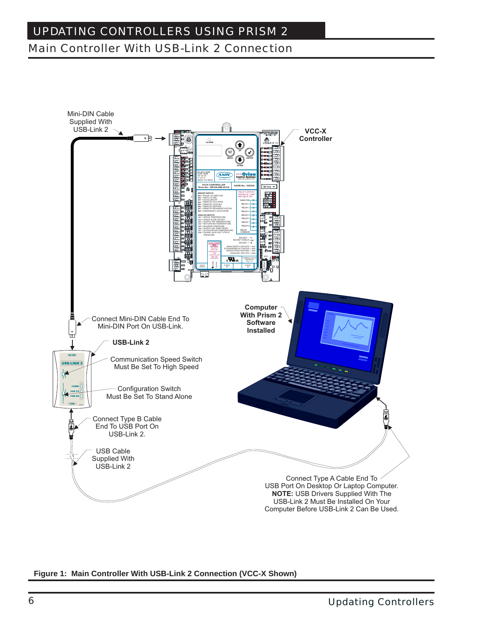# UPDATING CONTROLLERS USING PRISM 2 Main Controller With USB-Link 2 Connection



**Figure 1: Main Controller With USB-Link 2 Connection (VCC-X Shown)**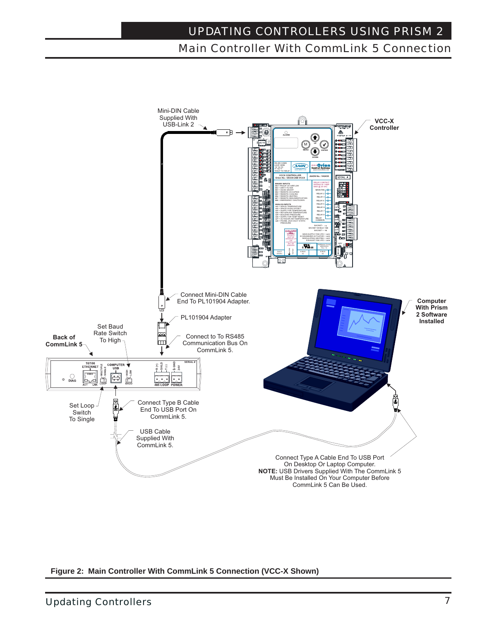### UPDATING CONTROLLERS USING PRISM 2 Main Controller With CommLink 5 Connection



**Figure 2: Main Controller With CommLink 5 Connection (VCC-X Shown)**